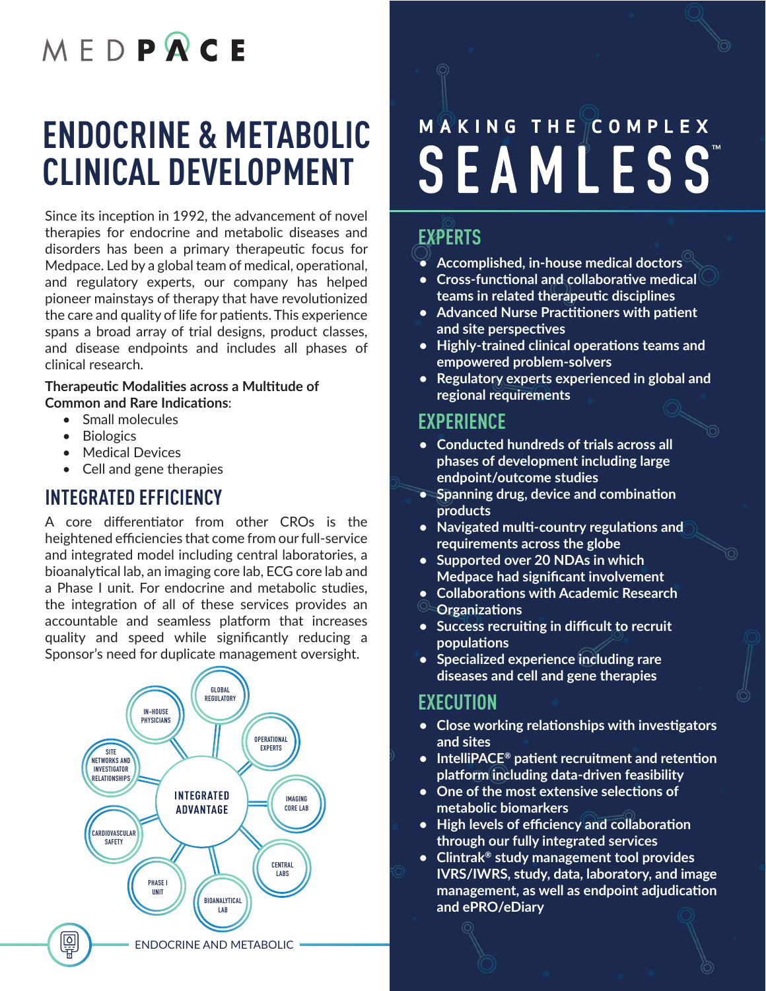# MEDPRCE

## **ENDOCRINE & METABOLIC CLINICAL DEVELOPMENT**

Since its inception in 1992, the advancement of novel therapies for endocrine and metabolic diseases and disorders has been a primary therapeutic focus for Medpace. Led by a global team of medical, operational, and regulatory experts, our company has helped pioneer mainstays of therapy that have revolutionized the care and quality of life for patients. This experience spans a broad array of trial designs, product classes, and disease endpoints and includes all phases of clinical research.

#### **Therapeutic Modalities across a Multitude of Common and Rare Indications**:

- Small molecules
- Biologics
- Medical Devices
- Cell and gene therapies

## **INTEGRATED EFFICIENCY**

A core differentiator from other CROs is the heightened efficiencies that come from our full-service and integrated model including central laboratories, a bioanalytical lab, an imaging core lab, ECG core lab and a Phase I unit. For endocrine and metabolic studies, the integration of all of these services provides an accountable and seamless platform that increases quality and speed while significantly reducing a Sponsor's need for duplicate management oversight.



# M **R** K I N G T H E C O M P L E X **SEAMLESS**

## **EXPERTS**

- **• Accomplished, in-house medical doctors**
- **• Cross-functional and collaborative medical teams in related therapeutic disciplines**
- **• Advanced Nurse Practitioners with patient and site perspectives**
- **• Highly-trained clinical operations teams and empowered problem-solvers**
- **• Regulatory experts experienced in global and regional requirements**

## **EXPERIENCE**

- **• Conducted hundreds of trials across all phases of development including large endpoint/outcome studies**
- **• Spanning drug, device and combination products**
- **• Navigated multi-country regulations and requirements across the globe**
- **• Supported over 20 NDAs in which Medpace had significant involvement**
- **• Collaborations with Academic Research**
- **Organizations**
- **• Success recruiting in difficult to recruit populations**
- **• Specialized experience including rare diseases and cell and gene therapies**

### **EXECUTION**

- **• Close working relationships with investigators and sites**
- **• IntelliPACE® patient recruitment and retention platform including data-driven feasibility**
- **• One of the most extensive selections of metabolic biomarkers**
- **• High levels of efficiency and collaboration through our fully integrated services**
- **• Clintrak® study management tool provides IVRS/IWRS, study, data, laboratory, and image management, as well as endpoint adjudication and ePRO/eDiary**